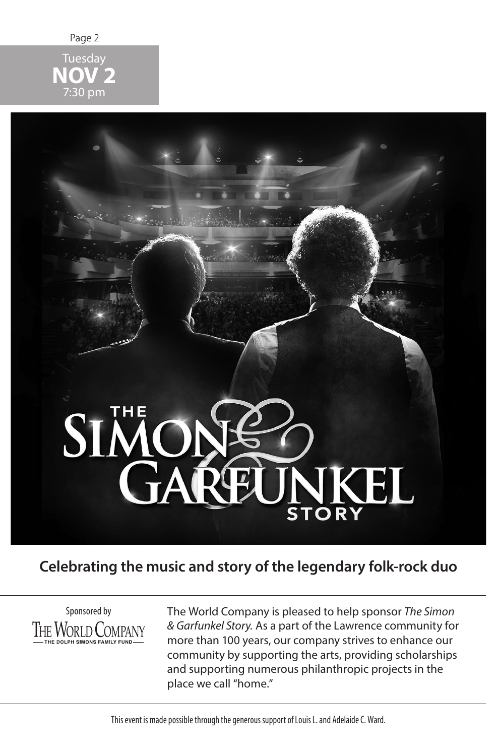

**NOV 2** 7:30 pm

# SIMC JNKEL **STORY**

## **Celebrating the music and story of the legendary folk-rock duo**



The World Company is pleased to help sponsor *The Simon & Garfunkel Story.* As a part of the Lawrence community for more than 100 years, our company strives to enhance our community by supporting the arts, providing scholarships and supporting numerous philanthropic projects in the place we call "home."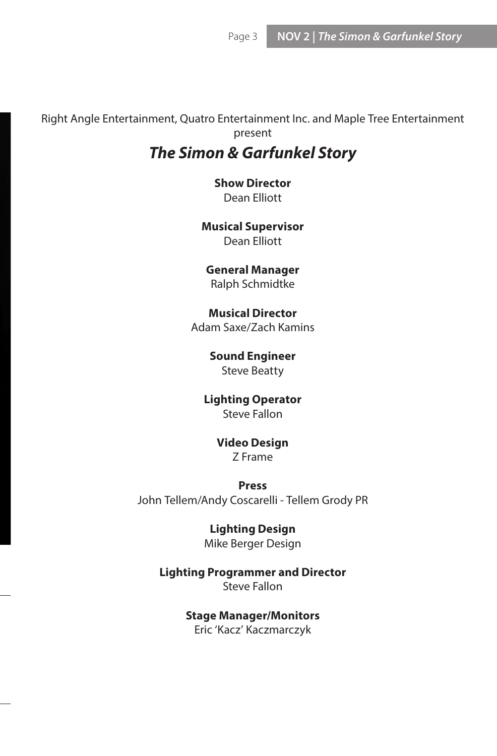Right Angle Entertainment, Quatro Entertainment Inc. and Maple Tree Entertainment present

# *The Simon & Garfunkel Story*

**Show Director** Dean Elliott

**Musical Supervisor** Dean Elliott

**General Manager** Ralph Schmidtke

**Musical Director** Adam Saxe/Zach Kamins

> **Sound Engineer** Steve Beatty

**Lighting Operator** Steve Fallon

> **Video Design** Z Frame

**Press** John Tellem/Andy Coscarelli - Tellem Grody PR

> **Lighting Design** Mike Berger Design

**Lighting Programmer and Director** Steve Fallon

> **Stage Manager/Monitors** Eric 'Kacz' Kaczmarczyk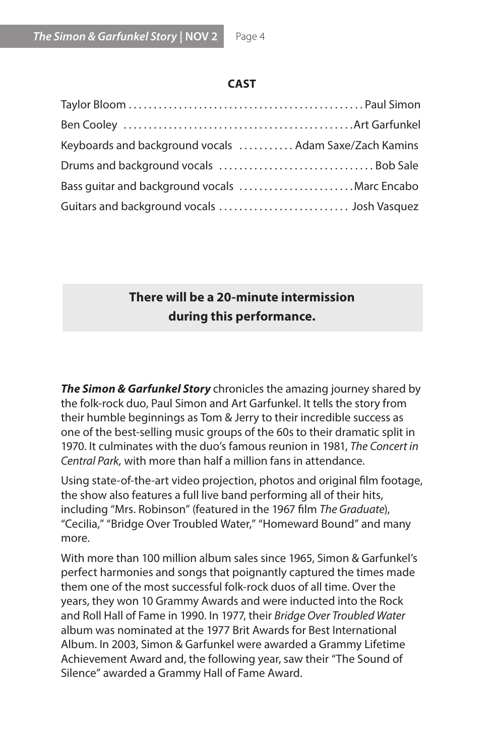#### **CAST**

| Keyboards and background vocals  Adam Saxe/Zach Kamins |
|--------------------------------------------------------|
|                                                        |
| Bass guitar and background vocals Marc Encabo          |
|                                                        |

### **There will be a 20-minute intermission during this performance.**

*The Simon & Garfunkel Story* chronicles the amazing journey shared by the folk-rock duo, Paul Simon and Art Garfunkel. It tells the story from their humble beginnings as Tom & Jerry to their incredible success as one of the best-selling music groups of the 60s to their dramatic split in 1970. It culminates with the duo's famous reunion in 1981, *The Concert in Central Park,* with more than half a million fans in attendance.

Using state-of-the-art video projection, photos and original film footage, the show also features a full live band performing all of their hits, including "Mrs. Robinson" (featured in the 1967 film *The Graduate*), "Cecilia," "Bridge Over Troubled Water," "Homeward Bound" and many more.

With more than 100 million album sales since 1965, Simon & Garfunkel's perfect harmonies and songs that poignantly captured the times made them one of the most successful folk-rock duos of all time. Over the years, they won 10 Grammy Awards and were inducted into the Rock and Roll Hall of Fame in 1990. In 1977, their *Bridge Over Troubled Water* album was nominated at the 1977 Brit Awards for Best International Album. In 2003, Simon & Garfunkel were awarded a Grammy Lifetime Achievement Award and, the following year, saw their "The Sound of Silence" awarded a Grammy Hall of Fame Award.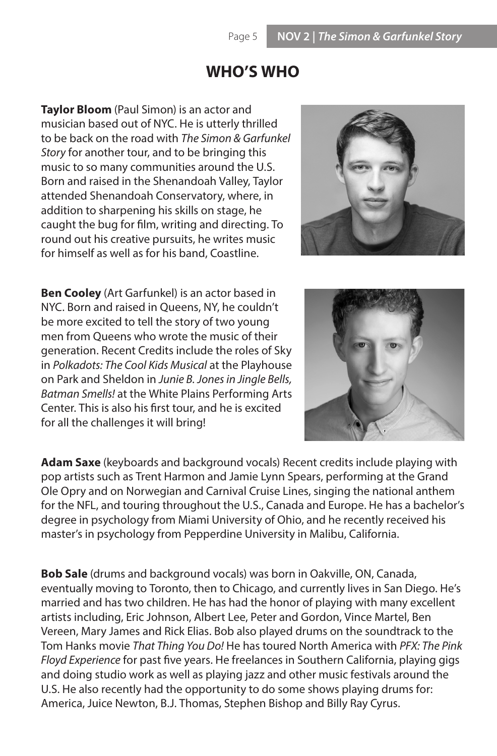## **WHO'S WHO**

**Taylor Bloom** (Paul Simon) is an actor and musician based out of NYC. He is utterly thrilled to be back on the road with *The Simon & Garfunkel Story* for another tour, and to be bringing this music to so many communities around the U.S. Born and raised in the Shenandoah Valley, Taylor attended Shenandoah Conservatory, where, in addition to sharpening his skills on stage, he caught the bug for film, writing and directing. To round out his creative pursuits, he writes music for himself as well as for his band, Coastline.



**Ben Cooley** (Art Garfunkel) is an actor based in NYC. Born and raised in Queens, NY, he couldn't be more excited to tell the story of two young men from Queens who wrote the music of their generation. Recent Credits include the roles of Sky in *Polkadots: The Cool Kids Musical* at the Playhouse on Park and Sheldon in *Junie B. Jones in Jingle Bells, Batman Smells!* at the White Plains Performing Arts Center. This is also his first tour, and he is excited for all the challenges it will bring!



**Adam Saxe** (keyboards and background vocals) Recent credits include playing with pop artists such as Trent Harmon and Jamie Lynn Spears, performing at the Grand Ole Opry and on Norwegian and Carnival Cruise Lines, singing the national anthem for the NFL, and touring throughout the U.S., Canada and Europe. He has a bachelor's degree in psychology from Miami University of Ohio, and he recently received his master's in psychology from Pepperdine University in Malibu, California.

**Bob Sale** (drums and background vocals) was born in Oakville, ON, Canada, eventually moving to Toronto, then to Chicago, and currently lives in San Diego. He's married and has two children. He has had the honor of playing with many excellent artists including, Eric Johnson, Albert Lee, Peter and Gordon, Vince Martel, Ben Vereen, Mary James and Rick Elias. Bob also played drums on the soundtrack to the Tom Hanks movie *That Thing You Do!* He has toured North America with *PFX: The Pink Floyd Experience* for past five years. He freelances in Southern California, playing gigs and doing studio work as well as playing jazz and other music festivals around the U.S. He also recently had the opportunity to do some shows playing drums for: America, Juice Newton, B.J. Thomas, Stephen Bishop and Billy Ray Cyrus.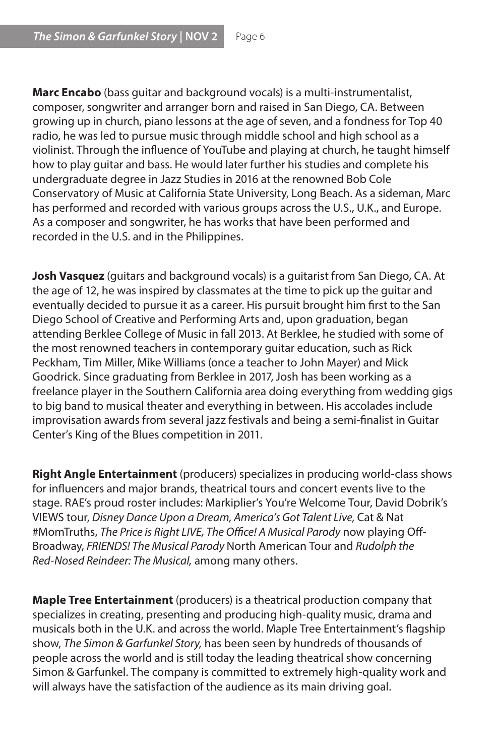**Marc Encabo** (bass guitar and background vocals) is a multi-instrumentalist, composer, songwriter and arranger born and raised in San Diego, CA. Between growing up in church, piano lessons at the age of seven, and a fondness for Top 40 radio, he was led to pursue music through middle school and high school as a violinist. Through the influence of YouTube and playing at church, he taught himself how to play guitar and bass. He would later further his studies and complete his undergraduate degree in Jazz Studies in 2016 at the renowned Bob Cole Conservatory of Music at California State University, Long Beach. As a sideman, Marc has performed and recorded with various groups across the U.S., U.K., and Europe. As a composer and songwriter, he has works that have been performed and recorded in the U.S. and in the Philippines.

**Josh Vasquez** (guitars and background vocals) is a guitarist from San Diego, CA. At the age of 12, he was inspired by classmates at the time to pick up the guitar and eventually decided to pursue it as a career. His pursuit brought him first to the San Diego School of Creative and Performing Arts and, upon graduation, began attending Berklee College of Music in fall 2013. At Berklee, he studied with some of the most renowned teachers in contemporary guitar education, such as Rick Peckham, Tim Miller, Mike Williams (once a teacher to John Mayer) and Mick Goodrick. Since graduating from Berklee in 2017, Josh has been working as a freelance player in the Southern California area doing everything from wedding gigs to big band to musical theater and everything in between. His accolades include improvisation awards from several jazz festivals and being a semi-finalist in Guitar Center's King of the Blues competition in 2011.

**Right Angle Entertainment** (producers) specializes in producing world-class shows for influencers and major brands, theatrical tours and concert events live to the stage. RAE's proud roster includes: Markiplier's You're Welcome Tour, David Dobrik's VIEWS tour, *Disney Dance Upon a Dream, America's Got Talent Live,* Cat & Nat #MomTruths, *The Price is Right LIVE, The Office! A Musical Parody* now playing Off-Broadway, *FRIENDS! The Musical Parody* North American Tour and *Rudolph the Red-Nosed Reindeer: The Musical,* among many others.

**Maple Tree Entertainment** (producers) is a theatrical production company that specializes in creating, presenting and producing high-quality music, drama and musicals both in the U.K. and across the world. Maple Tree Entertainment's flagship show, *The Simon & Garfunkel Story,* has been seen by hundreds of thousands of people across the world and is still today the leading theatrical show concerning Simon & Garfunkel. The company is committed to extremely high-quality work and will always have the satisfaction of the audience as its main driving goal.